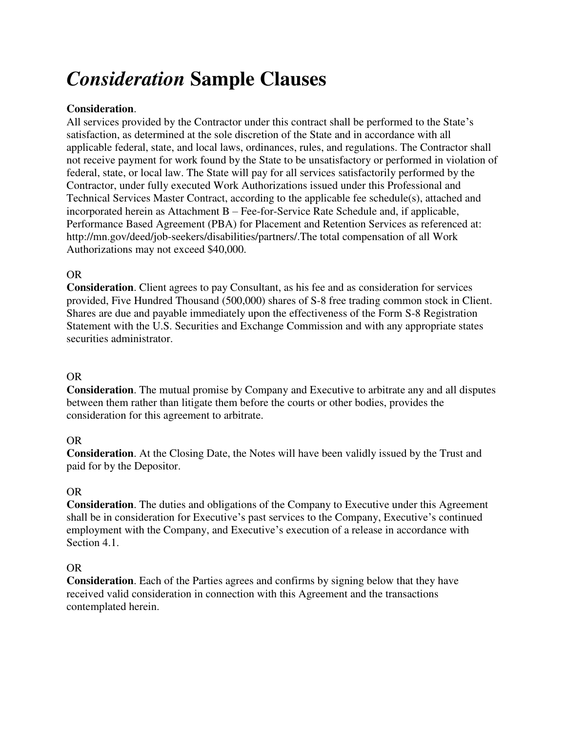# *Consideration* **Sample Clauses**

## **Consideration**.

All services provided by the Contractor under this contract shall be performed to the State's satisfaction, as determined at the sole discretion of the State and in accordance with all applicable federal, state, and local laws, ordinances, rules, and regulations. The Contractor shall not receive payment for work found by the State to be unsatisfactory or performed in violation of federal, state, or local law. The State will pay for all services satisfactorily performed by the Contractor, under fully executed Work Authorizations issued under this Professional and Technical Services Master Contract, according to the applicable fee schedule(s), attached and incorporated herein as Attachment B – Fee-for-Service Rate Schedule and, if applicable, Performance Based Agreement (PBA) for Placement and Retention Services as referenced at: http://mn.gov/deed/job-seekers/disabilities/partners/.The total compensation of all Work Authorizations may not exceed \$40,000.

## OR

**Consideration**. Client agrees to pay Consultant, as his fee and as consideration for services provided, Five Hundred Thousand (500,000) shares of S-8 free trading common stock in Client. Shares are due and payable immediately upon the effectiveness of the Form S-8 Registration Statement with the U.S. Securities and Exchange Commission and with any appropriate states securities administrator.

## OR

**Consideration**. The mutual promise by Company and Executive to arbitrate any and all disputes between them rather than litigate them before the courts or other bodies, provides the consideration for this agreement to arbitrate.

### OR

**Consideration**. At the Closing Date, the Notes will have been validly issued by the Trust and paid for by the Depositor.

### OR

**Consideration**. The duties and obligations of the Company to Executive under this Agreement shall be in consideration for Executive's past services to the Company, Executive's continued employment with the Company, and Executive's execution of a release in accordance with Section 4.1.

### OR

**Consideration**. Each of the Parties agrees and confirms by signing below that they have received valid consideration in connection with this Agreement and the transactions contemplated herein.